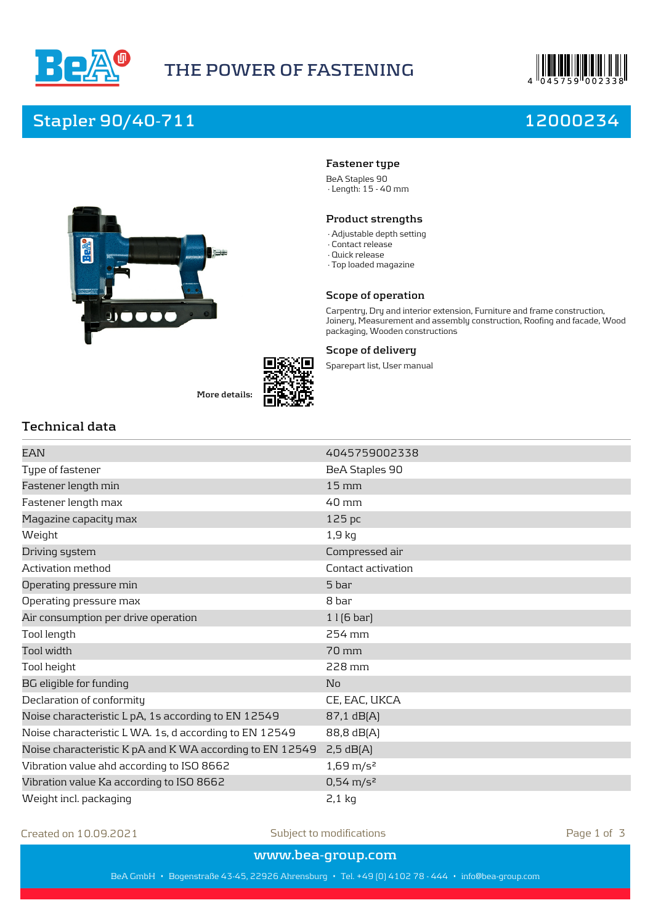



# **Stapler 90/40-711 12000234**



**More details:**



## **Fastener type**

BeA Staples 90 · Length: 15 - 40 mm

### **Product strengths**

- · Adjustable depth setting
- · Contact release
- · Quick release
- · Top loaded magazine

#### **Scope of operation**

Carpentry, Dry and interior extension, Furniture and frame construction, Joinery, Measurement and assembly construction, Roofing and facade, Wood packaging, Wooden constructions

### **Scope of delivery**

Sparepart list, User manual

## **Technical data**

| 4045759002338        |
|----------------------|
| BeA Staples 90       |
| $15 \,\mathrm{mm}$   |
| $40 \text{ mm}$      |
| 125 pc               |
| $1,9$ kg             |
| Compressed air       |
| Contact activation   |
| 5 bar                |
| 8 bar                |
| $1$   $(6$ bar]      |
| 254 mm               |
| 70 mm                |
| 228 mm               |
| No                   |
| CE, EAC, UKCA        |
| 87,1 dB[A]           |
| 88,8 dB[A]           |
| 2,5 dB(A)            |
| $1,69 \text{ m/s}^2$ |
| $0,54 \text{ m/s}^2$ |
| $2,1$ kg             |
|                      |

Created on 10.09.2021 Subject to modifications Page 1 of 3

**www.bea-group.com**

BeA GmbH • Bogenstraße 43-45, 22926 Ahrensburg • Tel. +49 (0) 4102 78 - 444 • info@bea-group.com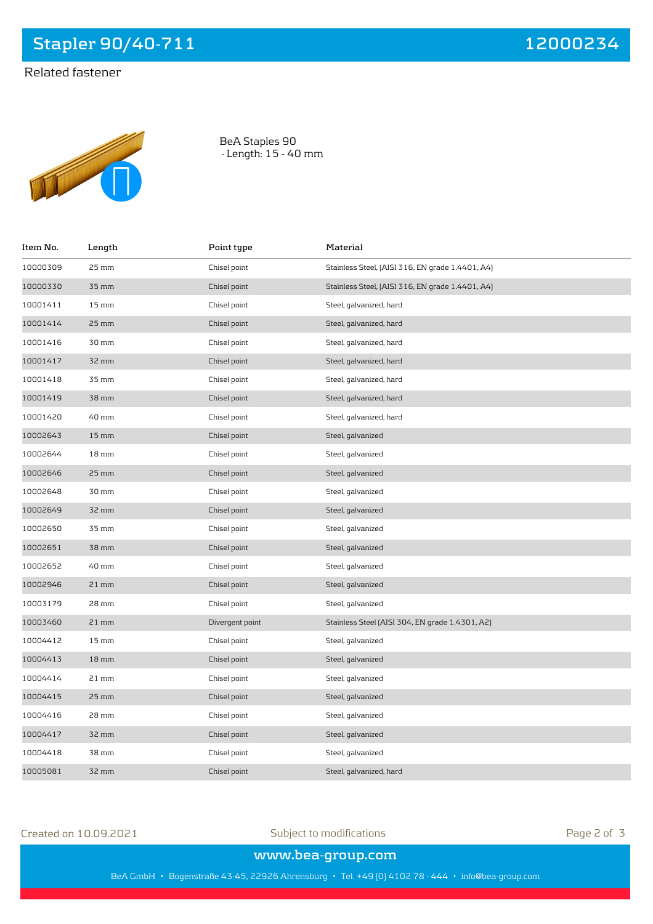**Stapler 90/40-711 12000234**

# Related fastener



BeA Staples 90 · Length: 15 - 40 mm

| Item No. | Length             | Point type      | Material                                         |
|----------|--------------------|-----------------|--------------------------------------------------|
| 10000309 | 25 mm              | Chisel point    | Stainless Steel, [AISI 316, EN grade 1.4401, A4] |
| 10000330 | 35 mm              | Chisel point    | Stainless Steel, [AISI 316, EN grade 1.4401, A4] |
| 10001411 | $15 \,\mathrm{mm}$ | Chisel point    | Steel, galvanized, hard                          |
| 10001414 | 25 mm              | Chisel point    | Steel, galvanized, hard                          |
| 10001416 | 30 mm              | Chisel point    | Steel, galvanized, hard                          |
| 10001417 | 32 mm              | Chisel point    | Steel, galvanized, hard                          |
| 10001418 | 35 mm              | Chisel point    | Steel, galvanized, hard                          |
| 10001419 | 38 mm              | Chisel point    | Steel, galvanized, hard                          |
| 10001420 | 40 mm              | Chisel point    | Steel, galvanized, hard                          |
| 10002643 | $15 \,\mathrm{mm}$ | Chisel point    | Steel, galvanized                                |
| 10002644 | $18 \,\mathrm{mm}$ | Chisel point    | Steel, galvanized                                |
| 10002646 | 25 mm              | Chisel point    | Steel, galvanized                                |
| 10002648 | 30 mm              | Chisel point    | Steel, galvanized                                |
| 10002649 | 32 mm              | Chisel point    | Steel, galvanized                                |
| 10002650 | 35 mm              | Chisel point    | Steel, galvanized                                |
| 10002651 | 38 mm              | Chisel point    | Steel, galvanized                                |
| 10002652 | 40 mm              | Chisel point    | Steel, galvanized                                |
| 10002946 | $21$ mm            | Chisel point    | Steel, galvanized                                |
| 10003179 | 28 mm              | Chisel point    | Steel, galvanized                                |
| 10003460 | 21 mm              | Divergent point | Stainless Steel (AISI 304, EN grade 1.4301, A2)  |
| 10004412 | $15 \,\mathrm{mm}$ | Chisel point    | Steel, galvanized                                |
| 10004413 | $18 \,\mathrm{mm}$ | Chisel point    | Steel, galvanized                                |
| 10004414 | 21 mm              | Chisel point    | Steel, galvanized                                |
| 10004415 | 25 mm              | Chisel point    | Steel, galvanized                                |
| 10004416 | 28 mm              | Chisel point    | Steel, galvanized                                |
| 10004417 | 32 mm              | Chisel point    | Steel, galvanized                                |
| 10004418 | 38 mm              | Chisel point    | Steel, galvanized                                |
| 10005081 | 32 mm              | Chisel point    | Steel, galvanized, hard                          |

Created on 10.09.2021 Subject to modifications Page 2 of 3

**www.bea-group.com**

BeA GmbH • Bogenstraße 43-45, 22926 Ahrensburg • Tel. +49 (0) 4102 78 - 444 • info@bea-group.com